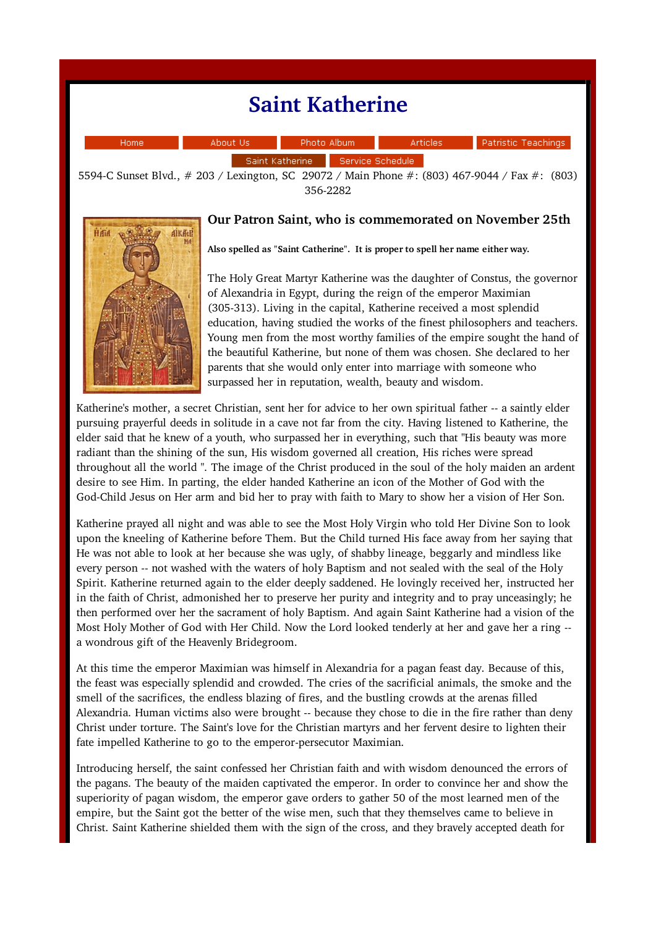## Saint Katherine

| Home. | About Us          |  | Photo Album          | Articles | - Patristic Teachings |
|-------|-------------------|--|----------------------|----------|-----------------------|
|       | Saint Katherine – |  | – Service Schedule I |          |                       |

5594-C Sunset Blvd., # 203 / Lexington, SC 29072 / Main Phone #: (803) 467-9044 / Fax #: (803) 356-2282



## Our Patron Saint, who is commemorated on November 25th

Also spelled as "Saint Catherine". It is proper to spell her name either way.

The Holy Great Martyr Katherine was the daughter of Constus, the governor of Alexandria in Egypt, during the reign of the emperor Maximian (305-313). Living in the capital, Katherine received a most splendid education, having studied the works of the finest philosophers and teachers. Young men from the most worthy families of the empire sought the hand of the beautiful Katherine, but none of them was chosen. She declared to her parents that she would only enter into marriage with someone who surpassed her in reputation, wealth, beauty and wisdom.

Katherine's mother, a secret Christian, sent her for advice to her own spiritual father -- a saintly elder pursuing prayerful deeds in solitude in a cave not far from the city. Having listened to Katherine, the elder said that he knew of a youth, who surpassed her in everything, such that "His beauty was more radiant than the shining of the sun, His wisdom governed all creation, His riches were spread throughout all the world ". The image of the Christ produced in the soul of the holy maiden an ardent desire to see Him. In parting, the elder handed Katherine an icon of the Mother of God with the God-Child Jesus on Her arm and bid her to pray with faith to Mary to show her a vision of Her Son.

Katherine prayed all night and was able to see the Most Holy Virgin who told Her Divine Son to look upon the kneeling of Katherine before Them. But the Child turned His face away from her saying that He was not able to look at her because she was ugly, of shabby lineage, beggarly and mindless like every person -- not washed with the waters of holy Baptism and not sealed with the seal of the Holy Spirit. Katherine returned again to the elder deeply saddened. He lovingly received her, instructed her in the faith of Christ, admonished her to preserve her purity and integrity and to pray unceasingly; he then performed over her the sacrament of holy Baptism. And again Saint Katherine had a vision of the Most Holy Mother of God with Her Child. Now the Lord looked tenderly at her and gave her a ring  $\cdot$ a wondrous gift of the Heavenly Bridegroom.

At this time the emperor Maximian was himself in Alexandria for a pagan feast day. Because of this, the feast was especially splendid and crowded. The cries of the sacrificial animals, the smoke and the smell of the sacrifices, the endless blazing of fires, and the bustling crowds at the arenas filled Alexandria. Human victims also were brought -- because they chose to die in the fire rather than deny Christ under torture. The Saint's love for the Christian martyrs and her fervent desire to lighten their fate impelled Katherine to go to the emperor-persecutor Maximian.

Introducing herself, the saint confessed her Christian faith and with wisdom denounced the errors of the pagans. The beauty of the maiden captivated the emperor. In order to convince her and show the superiority of pagan wisdom, the emperor gave orders to gather 50 of the most learned men of the empire, but the Saint got the better of the wise men, such that they themselves came to believe in Christ. Saint Katherine shielded them with the sign of the cross, and they bravely accepted death for